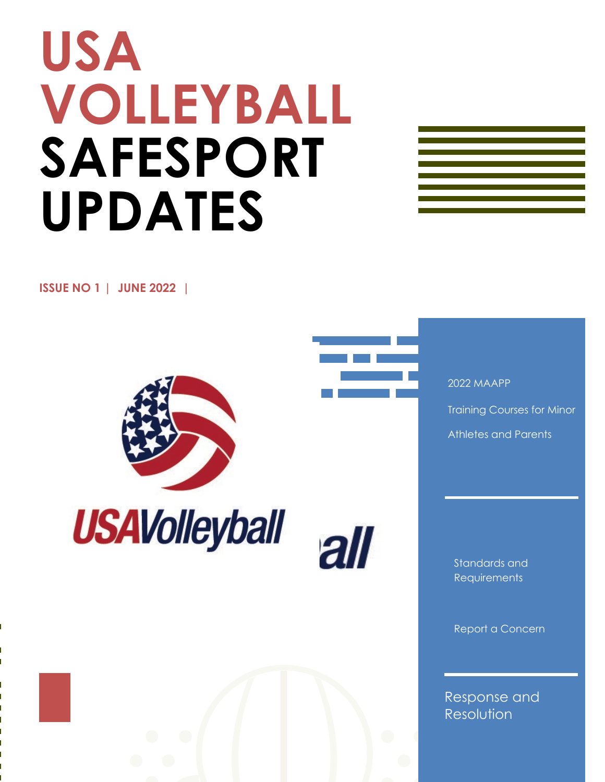# **USA VOLLEYBALL SAFESPORT UPDATES**



**ISSUE NO 1 | JUNE 2022 |** 





all

 2022 MAAPP Training Courses for Minor Athletes and Parents

Standards and **Requirements** 

Report a Concern

Response and Resolution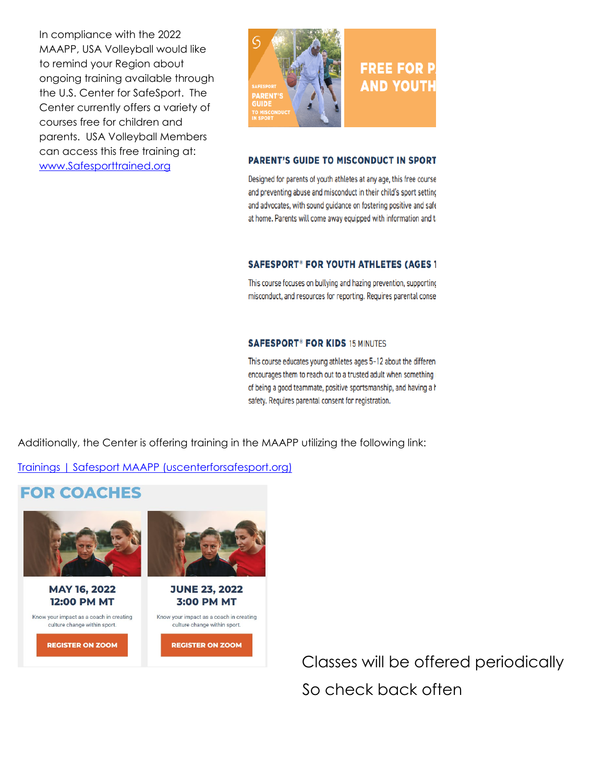In compliance with the 2022 MAAPP, USA Volleyball would like to remind your Region about ongoing training available through the U.S. Center for SafeSport. The Center currently offers a variety of courses free for children and parents. USA Volleyball Members can access this free training at: [www.Safesporttrained.org](http://www.safesporttrained.org/)



#### **PARENT'S GUIDE TO MISCONDUCT IN SPORT**

Designed for parents of youth athletes at any age, this free course and preventing abuse and misconduct in their child's sport setting and advocates, with sound guidance on fostering positive and safe at home. Parents will come away equipped with information and ta

#### **SAFESPORT<sup>®</sup> FOR YOUTH ATHLETES (AGES 1**

This course focuses on bullying and hazing prevention, supporting misconduct, and resources for reporting. Requires parental conse

#### **SAFESPORT<sup>®</sup> FOR KIDS 15 MINUTES**

This course educates young athletes ages 5-12 about the different encourages them to reach out to a trusted adult when something i of being a good teammate, positive sportsmanship, and having a h safety. Requires parental consent for registration.

Additionally, the Center is offering training in the MAAPP utilizing the following link:

[Trainings | Safesport MAAPP \(uscenterforsafesport.org\)](https://maapp.uscenterforsafesport.org/trainings/)

## **FOR COACHES**



**MAY 16, 2022 12:00 PM MT** 

Know your impact as a coach in creating culture change within sport.

**REGISTER ON ZOOM** 



**3:00 PM MT** Know your impact as a coach in creating culture change within sport.

**REGISTER ON ZOOM** 

 Classes will be offered periodically So check back often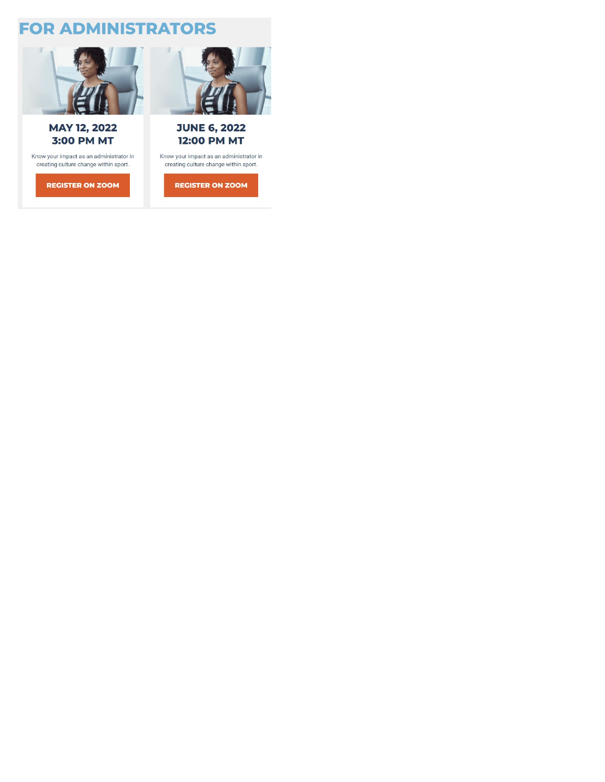## **FOR ADMINISTRATORS**



### **MAY 12, 2022 3:00 PM MT**

Know your impact as an administrator in creating culture change within sport.

**REGISTER ON ZOOM** 



## **JUNE 6, 2022 12:00 PM MT**

Know your impact as an administrator in creating culture change within sport.

**REGISTER ON ZOOM**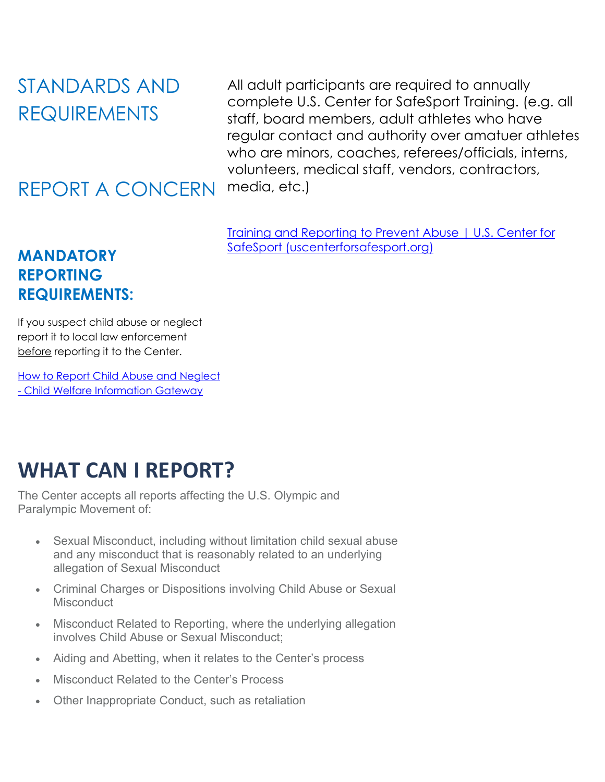STANDARDS AND REQUIREMENTS

## REPORT A CONCERN

**MANDATORY REPORTING REQUIREMENTS:** All adult participants are required to annually complete U.S. Center for SafeSport Training. (e.g. all staff, board members, adult athletes who have regular contact and authority over amatuer athletes who are minors, coaches, referees/officials, interns, volunteers, medical staff, vendors, contractors, media, etc.)

[Training and Reporting to Prevent Abuse | U.S. Center for](https://uscenterforsafesport.org/)  [SafeSport \(uscenterforsafesport.org\)](https://uscenterforsafesport.org/)

If you suspect child abuse or neglect report it to local law enforcement before reporting it to the Center.

[How to Report Child Abuse and Neglect](https://www.childwelfare.gov/topics/responding/reporting/how/)  - [Child Welfare Information Gateway](https://www.childwelfare.gov/topics/responding/reporting/how/)

# **WHAT CAN I REPORT?**

The Center accepts all reports affecting the U.S. Olympic and Paralympic Movement of:

- Sexual Misconduct, including without limitation child sexual abuse and any misconduct that is reasonably related to an underlying allegation of Sexual Misconduct
- Criminal Charges or Dispositions involving Child Abuse or Sexual **Misconduct**
- Misconduct Related to Reporting, where the underlying allegation involves Child Abuse or Sexual Misconduct;
- Aiding and Abetting, when it relates to the Center's process
- Misconduct Related to the Center's Process
- Other Inappropriate Conduct, such as retaliation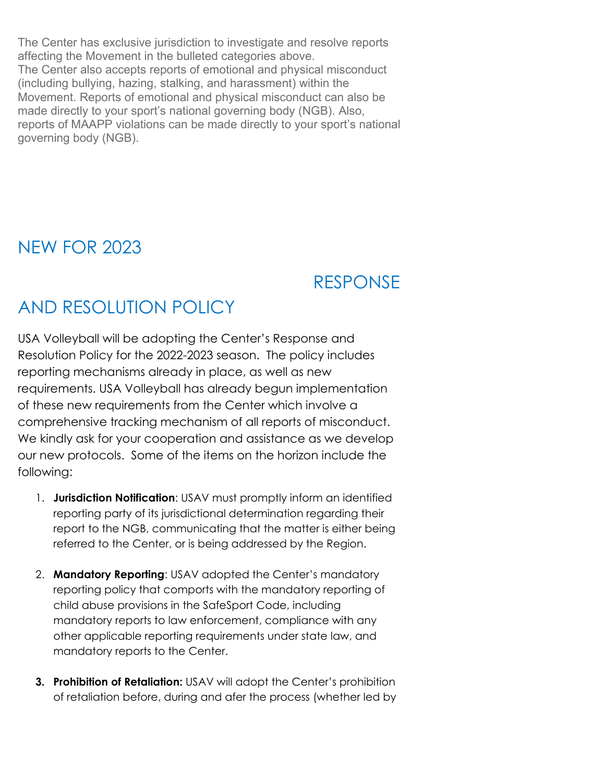The Center has exclusive jurisdiction to investigate and resolve reports affecting the Movement in the bulleted categories above. The Center also accepts reports of emotional and physical misconduct (including bullying, hazing, stalking, and harassment) within the Movement. Reports of emotional and physical misconduct can also be made directly to your sport's national governing body (NGB). Also, reports of MAAPP violations can be made directly to your sport's national governing body (NGB).

## NEW FOR 2023

# RESPONSE

# AND RESOLUTION POLICY

USA Volleyball will be adopting the Center's Response and Resolution Policy for the 2022-2023 season. The policy includes reporting mechanisms already in place, as well as new requirements. USA Volleyball has already begun implementation of these new requirements from the Center which involve a comprehensive tracking mechanism of all reports of misconduct. We kindly ask for your cooperation and assistance as we develop our new protocols. Some of the items on the horizon include the following:

- 1. **Jurisdiction Notification**: USAV must promptly inform an identified reporting party of its jurisdictional determination regarding their report to the NGB, communicating that the matter is either being referred to the Center, or is being addressed by the Region.
- 2. **Mandatory Reporting**: USAV adopted the Center's mandatory reporting policy that comports with the mandatory reporting of child abuse provisions in the SafeSport Code, including mandatory reports to law enforcement, compliance with any other applicable reporting requirements under state law, and mandatory reports to the Center.
- **3. Prohibition of Retaliation:** USAV will adopt the Center's prohibition of retaliation before, during and afer the process (whether led by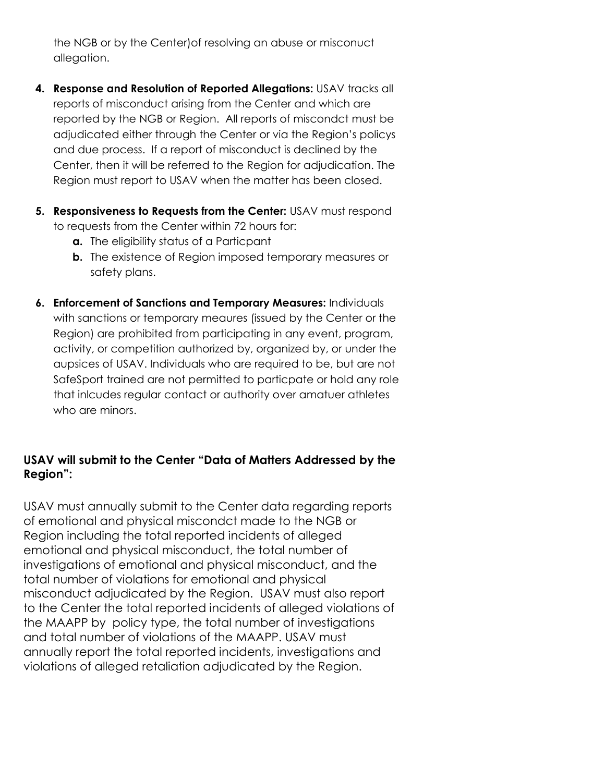the NGB or by the Center)of resolving an abuse or misconuct allegation.

- **4. Response and Resolution of Reported Allegations:** USAV tracks all reports of misconduct arising from the Center and which are reported by the NGB or Region. All reports of miscondct must be adjudicated either through the Center or via the Region's policys and due process. If a report of misconduct is declined by the Center, then it will be referred to the Region for adjudication. The Region must report to USAV when the matter has been closed.
- **5. Responsiveness to Requests from the Center:** USAV must respond to requests from the Center within 72 hours for:
	- **a.** The eligibility status of a Particpant
	- **b.** The existence of Region imposed temporary measures or safety plans.
- **6. Enforcement of Sanctions and Temporary Measures:** Individuals with sanctions or temporary meaures (issued by the Center or the Region) are prohibited from participating in any event, program, activity, or competition authorized by, organized by, or under the aupsices of USAV. Individuals who are required to be, but are not SafeSport trained are not permitted to particpate or hold any role that inlcudes regular contact or authority over amatuer athletes who are minors.

## **USAV will submit to the Center "Data of Matters Addressed by the Region":**

USAV must annually submit to the Center data regarding reports of emotional and physical miscondct made to the NGB or Region including the total reported incidents of alleged emotional and physical misconduct, the total number of investigations of emotional and physical misconduct, and the total number of violations for emotional and physical misconduct adjudicated by the Region. USAV must also report to the Center the total reported incidents of alleged violations of the MAAPP by policy type, the total number of investigations and total number of violations of the MAAPP. USAV must annually report the total reported incidents, investigations and violations of alleged retaliation adjudicated by the Region.